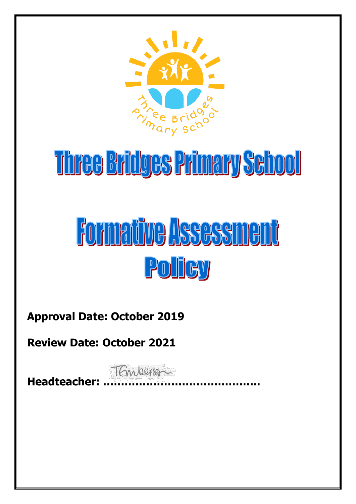

# Three Bridges Primary School

# Formative Assessment POITCY

**Approval Date: October 2019**

**Review Date: October 2021**

TEmperson **Headteacher: ……………………………………..**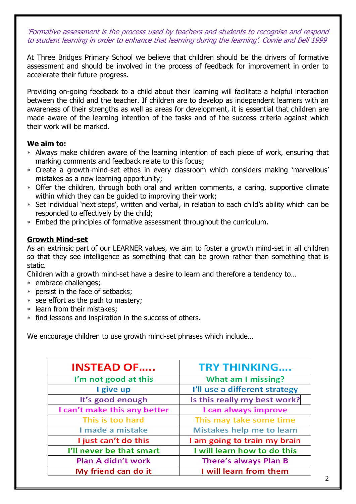'Formative assessment is the process used by teachers and students to recognise and respond to student learning in order to enhance that learning during the learning'. Cowie and Bell 1999

At Three Bridges Primary School we believe that children should be the drivers of formative assessment and should be involved in the process of feedback for improvement in order to accelerate their future progress.

Providing on-going feedback to a child about their learning will facilitate a helpful interaction between the child and the teacher. If children are to develop as independent learners with an awareness of their strengths as well as areas for development, it is essential that children are made aware of the learning intention of the tasks and of the success criteria against which their work will be marked.

#### **We aim to:**

- Always make children aware of the learning intention of each piece of work, ensuring that marking comments and feedback relate to this focus;
- Create a growth-mind-set ethos in every classroom which considers making 'marvellous' mistakes as a new learning opportunity;
- Offer the children, through both oral and written comments, a caring, supportive climate within which they can be guided to improving their work;
- Set individual 'next steps', written and verbal, in relation to each child's ability which can be responded to effectively by the child;
- Embed the principles of formative assessment throughout the curriculum.

## **Growth Mind-set**

As an extrinsic part of our LEARNER values, we aim to foster a growth mind-set in all children so that they see intelligence as something that can be grown rather than something that is static.

Children with a growth mind-set have a desire to learn and therefore a tendency to…

- embrace challenges;
- persist in the face of setbacks;
- \* see effort as the path to mastery;
- learn from their mistakes;
- find lessons and inspiration in the success of others.

We encourage children to use growth mind-set phrases which include…

| <b>INSTEAD OF</b>            | <b>TRY THINKING</b>           |
|------------------------------|-------------------------------|
| I'm not good at this         | What am I missing?            |
| I give up                    | I'll use a different strategy |
| It's good enough             | Is this really my best work?  |
| I can't make this any better | I can always improve          |
| This is too hard             | This may take some time       |
| I made a mistake             | Mistakes help me to learn     |
| I just can't do this         | I am going to train my brain  |
| I'll never be that smart     | I will learn how to do this   |
| Plan A didn't work           | <b>There's always Plan B</b>  |
| My friend can do it          | I will learn from them        |
|                              |                               |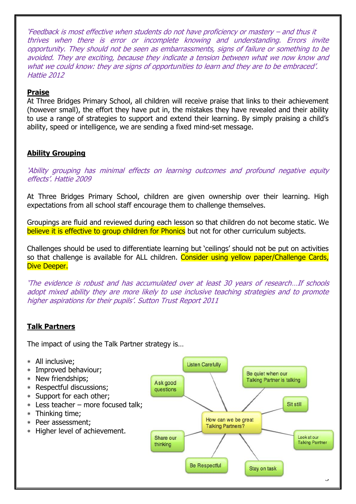'Feedback is most effective when students do not have proficiency or mastery – and thus it thrives when there is error or incomplete knowing and understanding. Errors invite opportunity. They should not be seen as embarrassments, signs of failure or something to be avoided. They are exciting, because they indicate a tension between what we now know and what we could know: they are signs of opportunities to learn and they are to be embraced'. Hattie 2012

### **Praise**

At Three Bridges Primary School, all children will receive praise that links to their achievement (however small), the effort they have put in, the mistakes they have revealed and their ability to use a range of strategies to support and extend their learning. By simply praising a child's ability, speed or intelligence, we are sending a fixed mind-set message.

## **Ability Grouping**

'Ability grouping has minimal effects on learning outcomes and profound negative equity effects'. Hattie 2009

At Three Bridges Primary School, children are given ownership over their learning. High expectations from all school staff encourage them to challenge themselves.

Groupings are fluid and reviewed during each lesson so that children do not become static. We believe it is effective to group children for Phonics but not for other curriculum subjects.

Challenges should be used to differentiate learning but 'ceilings' should not be put on activities so that challenge is available for ALL children. Consider using yellow paper/Challenge Cards, Dive Deeper.

'The evidence is robust and has accumulated over at least 30 years of research…If schools adopt mixed ability they are more likely to use inclusive teaching strategies and to promote higher aspirations for their pupils'. Sutton Trust Report 2011

# **Talk Partners**

The impact of using the Talk Partner strategy is…

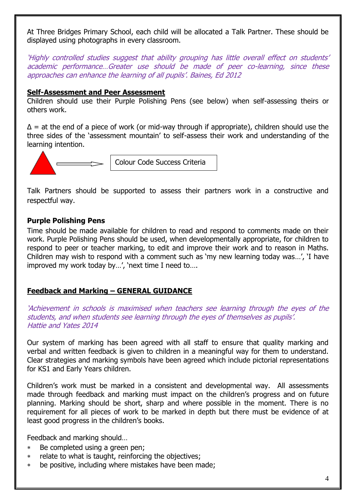At Three Bridges Primary School, each child will be allocated a Talk Partner. These should be displayed using photographs in every classroom.

'Highly controlled studies suggest that ability grouping has little overall effect on students' academic performance…Greater use should be made of peer co-learning, since these approaches can enhance the learning of all pupils'. Baines, Ed 2012

#### **Self-Assessment and Peer Assessment**

Children should use their Purple Polishing Pens (see below) when self-assessing theirs or others work.

 $\Delta$  = at the end of a piece of work (or mid-way through if appropriate), children should use the three sides of the 'assessment mountain' to self-assess their work and understanding of the learning intention.



Colour Code Success Criteria

Talk Partners should be supported to assess their partners work in a constructive and respectful way.

## **Purple Polishing Pens**

Time should be made available for children to read and respond to comments made on their work. Purple Polishing Pens should be used, when developmentally appropriate, for children to respond to peer or teacher marking, to edit and improve their work and to reason in Maths. Children may wish to respond with a comment such as 'my new learning today was…', 'I have improved my work today by…', 'next time I need to….

## **Feedback and Marking – GENERAL GUIDANCE**

'Achievement in schools is maximised when teachers see learning through the eyes of the students, and when students see learning through the eyes of themselves as pupils'. Hattie and Yates 2014

Our system of marking has been agreed with all staff to ensure that quality marking and verbal and written feedback is given to children in a meaningful way for them to understand. Clear strategies and marking symbols have been agreed which include pictorial representations for KS1 and Early Years children.

Children's work must be marked in a consistent and developmental way. All assessments made through feedback and marking must impact on the children's progress and on future planning. Marking should be short, sharp and where possible in the moment. There is no requirement for all pieces of work to be marked in depth but there must be evidence of at least good progress in the children's books.

Feedback and marking should…

- Be completed using a green pen;
- relate to what is taught, reinforcing the objectives;
- be positive, including where mistakes have been made;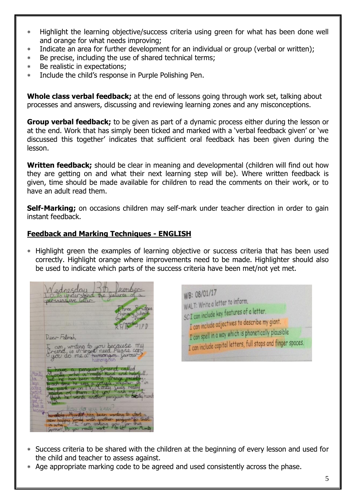- Highlight the learning objective/success criteria using green for what has been done well and orange for what needs improving;
- Indicate an area for further development for an individual or group (verbal or written);
- Be precise, including the use of shared technical terms;
- Be realistic in expectations;
- Include the child's response in Purple Polishing Pen.

**Whole class verbal feedback;** at the end of lessons going through work set, talking about processes and answers, discussing and reviewing learning zones and any misconceptions.

**Group verbal feedback;** to be given as part of a dynamic process either during the lesson or at the end. Work that has simply been ticked and marked with a 'verbal feedback given' or 'we discussed this together' indicates that sufficient oral feedback has been given during the lesson.

**Written feedback;** should be clear in meaning and developmental (children will find out how they are getting on and what their next learning step will be). Where written feedback is given, time should be made available for children to read the comments on their work, or to have an adult read them.

**Self-Marking;** on occasions children may self-mark under teacher direction in order to gain instant feedback.

## **Feedback and Marking Techniques - ENGLISH**

 Highlight green the examples of learning objective or success criteria that has been used correctly. Highlight orange where improvements need to be made. Highlighter should also be used to indicate which parts of the success criteria have been met/not yet met.

Inesday underst Dear Fatimet am writing to you because m hummans you do me a



- Success criteria to be shared with the children at the beginning of every lesson and used for the child and teacher to assess against.
- Age appropriate marking code to be agreed and used consistently across the phase.